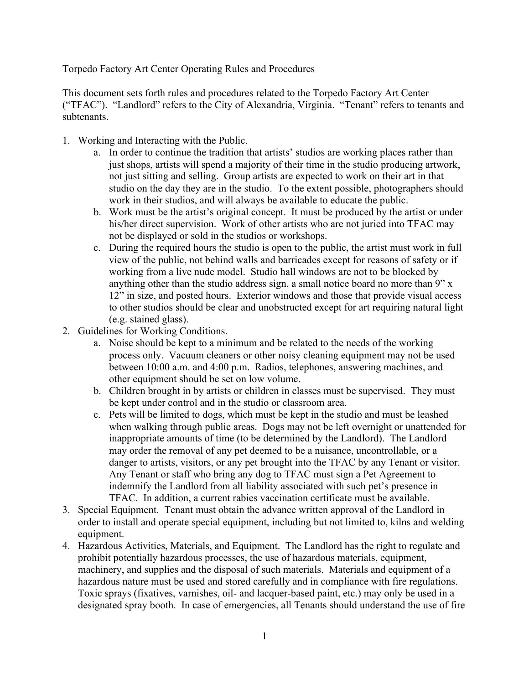Torpedo Factory Art Center Operating Rules and Procedures

This document sets forth rules and procedures related to the Torpedo Factory Art Center ("TFAC"). "Landlord" refers to the City of Alexandria, Virginia. "Tenant" refers to tenants and subtenants.

- 1. Working and Interacting with the Public.
	- a. In order to continue the tradition that artists' studios are working places rather than just shops, artists will spend a majority of their time in the studio producing artwork, not just sitting and selling. Group artists are expected to work on their art in that studio on the day they are in the studio. To the extent possible, photographers should work in their studios, and will always be available to educate the public.
	- b. Work must be the artist's original concept. It must be produced by the artist or under his/her direct supervision. Work of other artists who are not juried into TFAC may not be displayed or sold in the studios or workshops.
	- c. During the required hours the studio is open to the public, the artist must work in full view of the public, not behind walls and barricades except for reasons of safety or if working from a live nude model. Studio hall windows are not to be blocked by anything other than the studio address sign, a small notice board no more than 9" x 12" in size, and posted hours. Exterior windows and those that provide visual access to other studios should be clear and unobstructed except for art requiring natural light (e.g. stained glass).
- 2. Guidelines for Working Conditions.
	- a. Noise should be kept to a minimum and be related to the needs of the working process only. Vacuum cleaners or other noisy cleaning equipment may not be used between 10:00 a.m. and 4:00 p.m. Radios, telephones, answering machines, and other equipment should be set on low volume.
	- b. Children brought in by artists or children in classes must be supervised. They must be kept under control and in the studio or classroom area.
	- c. Pets will be limited to dogs, which must be kept in the studio and must be leashed when walking through public areas. Dogs may not be left overnight or unattended for inappropriate amounts of time (to be determined by the Landlord). The Landlord may order the removal of any pet deemed to be a nuisance, uncontrollable, or a danger to artists, visitors, or any pet brought into the TFAC by any Tenant or visitor. Any Tenant or staff who bring any dog to TFAC must sign a Pet Agreement to indemnify the Landlord from all liability associated with such pet's presence in TFAC. In addition, a current rabies vaccination certificate must be available.
- 3. Special Equipment. Tenant must obtain the advance written approval of the Landlord in order to install and operate special equipment, including but not limited to, kilns and welding equipment.
- 4. Hazardous Activities, Materials, and Equipment. The Landlord has the right to regulate and prohibit potentially hazardous processes, the use of hazardous materials, equipment, machinery, and supplies and the disposal of such materials. Materials and equipment of a hazardous nature must be used and stored carefully and in compliance with fire regulations. Toxic sprays (fixatives, varnishes, oil- and lacquer-based paint, etc.) may only be used in a designated spray booth. In case of emergencies, all Tenants should understand the use of fire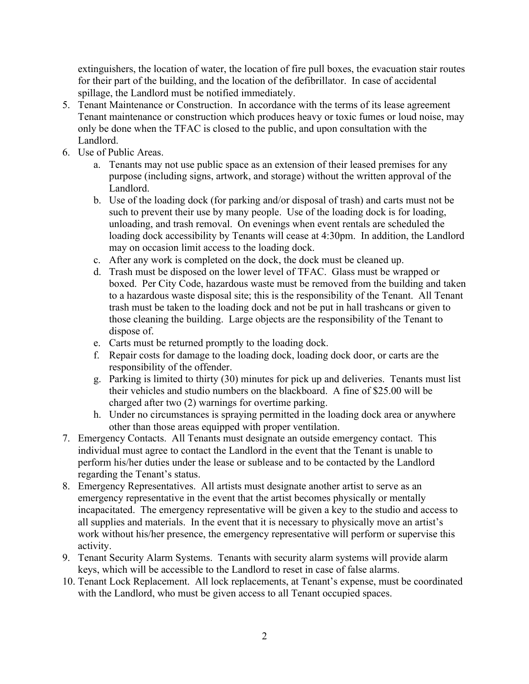extinguishers, the location of water, the location of fire pull boxes, the evacuation stair routes for their part of the building, and the location of the defibrillator. In case of accidental spillage, the Landlord must be notified immediately.

- 5. Tenant Maintenance or Construction. In accordance with the terms of its lease agreement Tenant maintenance or construction which produces heavy or toxic fumes or loud noise, may only be done when the TFAC is closed to the public, and upon consultation with the Landlord.
- 6. Use of Public Areas.
	- a. Tenants may not use public space as an extension of their leased premises for any purpose (including signs, artwork, and storage) without the written approval of the Landlord.
	- b. Use of the loading dock (for parking and/or disposal of trash) and carts must not be such to prevent their use by many people. Use of the loading dock is for loading, unloading, and trash removal. On evenings when event rentals are scheduled the loading dock accessibility by Tenants will cease at 4:30pm. In addition, the Landlord may on occasion limit access to the loading dock.
	- c. After any work is completed on the dock, the dock must be cleaned up.
	- d. Trash must be disposed on the lower level of TFAC. Glass must be wrapped or boxed. Per City Code, hazardous waste must be removed from the building and taken to a hazardous waste disposal site; this is the responsibility of the Tenant. All Tenant trash must be taken to the loading dock and not be put in hall trashcans or given to those cleaning the building. Large objects are the responsibility of the Tenant to dispose of.
	- e. Carts must be returned promptly to the loading dock.
	- f. Repair costs for damage to the loading dock, loading dock door, or carts are the responsibility of the offender.
	- g. Parking is limited to thirty (30) minutes for pick up and deliveries. Tenants must list their vehicles and studio numbers on the blackboard. A fine of \$25.00 will be charged after two (2) warnings for overtime parking.
	- h. Under no circumstances is spraying permitted in the loading dock area or anywhere other than those areas equipped with proper ventilation.
- 7. Emergency Contacts. All Tenants must designate an outside emergency contact. This individual must agree to contact the Landlord in the event that the Tenant is unable to perform his/her duties under the lease or sublease and to be contacted by the Landlord regarding the Tenant's status.
- 8. Emergency Representatives. All artists must designate another artist to serve as an emergency representative in the event that the artist becomes physically or mentally incapacitated. The emergency representative will be given a key to the studio and access to all supplies and materials. In the event that it is necessary to physically move an artist's work without his/her presence, the emergency representative will perform or supervise this activity.
- 9. Tenant Security Alarm Systems. Tenants with security alarm systems will provide alarm keys, which will be accessible to the Landlord to reset in case of false alarms.
- 10. Tenant Lock Replacement. All lock replacements, at Tenant's expense, must be coordinated with the Landlord, who must be given access to all Tenant occupied spaces.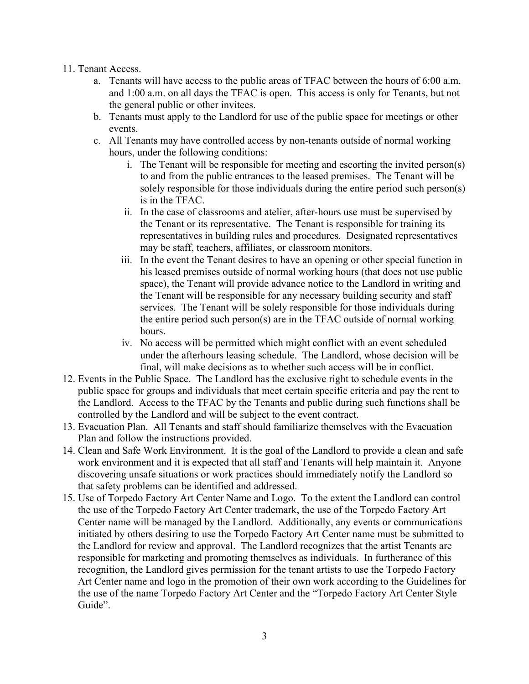## 11. Tenant Access.

- a. Tenants will have access to the public areas of TFAC between the hours of 6:00 a.m. and 1:00 a.m. on all days the TFAC is open. This access is only for Tenants, but not the general public or other invitees.
- b. Tenants must apply to the Landlord for use of the public space for meetings or other events.
- c. All Tenants may have controlled access by non-tenants outside of normal working hours, under the following conditions:
	- i. The Tenant will be responsible for meeting and escorting the invited person(s) to and from the public entrances to the leased premises. The Tenant will be solely responsible for those individuals during the entire period such person(s) is in the TFAC.
	- ii. In the case of classrooms and atelier, after-hours use must be supervised by the Tenant or its representative. The Tenant is responsible for training its representatives in building rules and procedures. Designated representatives may be staff, teachers, affiliates, or classroom monitors.
	- iii. In the event the Tenant desires to have an opening or other special function in his leased premises outside of normal working hours (that does not use public space), the Tenant will provide advance notice to the Landlord in writing and the Tenant will be responsible for any necessary building security and staff services. The Tenant will be solely responsible for those individuals during the entire period such person(s) are in the TFAC outside of normal working hours.
	- iv. No access will be permitted which might conflict with an event scheduled under the afterhours leasing schedule. The Landlord, whose decision will be final, will make decisions as to whether such access will be in conflict.
- 12. Events in the Public Space. The Landlord has the exclusive right to schedule events in the public space for groups and individuals that meet certain specific criteria and pay the rent to the Landlord. Access to the TFAC by the Tenants and public during such functions shall be controlled by the Landlord and will be subject to the event contract.
- 13. Evacuation Plan. All Tenants and staff should familiarize themselves with the Evacuation Plan and follow the instructions provided.
- 14. Clean and Safe Work Environment. It is the goal of the Landlord to provide a clean and safe work environment and it is expected that all staff and Tenants will help maintain it. Anyone discovering unsafe situations or work practices should immediately notify the Landlord so that safety problems can be identified and addressed.
- 15. Use of Torpedo Factory Art Center Name and Logo. To the extent the Landlord can control the use of the Torpedo Factory Art Center trademark, the use of the Torpedo Factory Art Center name will be managed by the Landlord. Additionally, any events or communications initiated by others desiring to use the Torpedo Factory Art Center name must be submitted to the Landlord for review and approval. The Landlord recognizes that the artist Tenants are responsible for marketing and promoting themselves as individuals. In furtherance of this recognition, the Landlord gives permission for the tenant artists to use the Torpedo Factory Art Center name and logo in the promotion of their own work according to the Guidelines for the use of the name Torpedo Factory Art Center and the "Torpedo Factory Art Center Style Guide".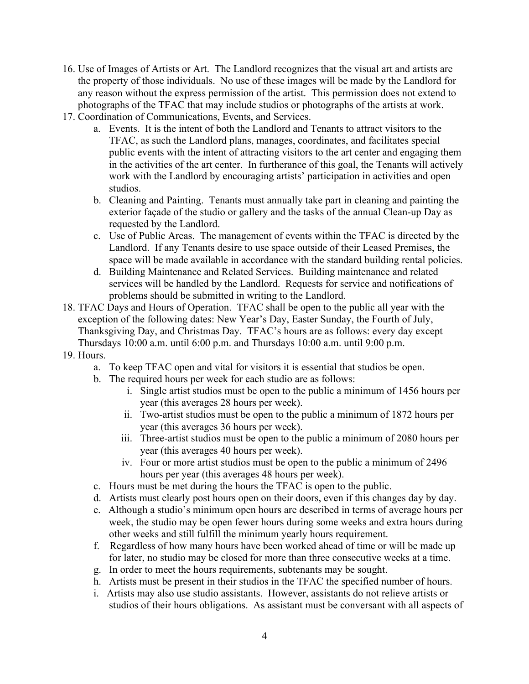- 16. Use of Images of Artists or Art. The Landlord recognizes that the visual art and artists are the property of those individuals. No use of these images will be made by the Landlord for any reason without the express permission of the artist. This permission does not extend to photographs of the TFAC that may include studios or photographs of the artists at work.
- 17. Coordination of Communications, Events, and Services.
	- a. Events. It is the intent of both the Landlord and Tenants to attract visitors to the TFAC, as such the Landlord plans, manages, coordinates, and facilitates special public events with the intent of attracting visitors to the art center and engaging them in the activities of the art center. In furtherance of this goal, the Tenants will actively work with the Landlord by encouraging artists' participation in activities and open studios.
	- b. Cleaning and Painting. Tenants must annually take part in cleaning and painting the exterior façade of the studio or gallery and the tasks of the annual Clean-up Day as requested by the Landlord.
	- c. Use of Public Areas. The management of events within the TFAC is directed by the Landlord. If any Tenants desire to use space outside of their Leased Premises, the space will be made available in accordance with the standard building rental policies.
	- d. Building Maintenance and Related Services. Building maintenance and related services will be handled by the Landlord. Requests for service and notifications of problems should be submitted in writing to the Landlord.
- 18. TFAC Days and Hours of Operation. TFAC shall be open to the public all year with the exception of the following dates: New Year's Day, Easter Sunday, the Fourth of July, Thanksgiving Day, and Christmas Day. TFAC's hours are as follows: every day except Thursdays 10:00 a.m. until 6:00 p.m. and Thursdays 10:00 a.m. until 9:00 p.m.
- 19. Hours.
	- a. To keep TFAC open and vital for visitors it is essential that studios be open.
	- b. The required hours per week for each studio are as follows:
		- i. Single artist studios must be open to the public a minimum of 1456 hours per year (this averages 28 hours per week).
		- ii. Two-artist studios must be open to the public a minimum of 1872 hours per year (this averages 36 hours per week).
		- iii. Three-artist studios must be open to the public a minimum of 2080 hours per year (this averages 40 hours per week).
		- iv. Four or more artist studios must be open to the public a minimum of 2496 hours per year (this averages 48 hours per week).
	- c. Hours must be met during the hours the TFAC is open to the public.
	- d. Artists must clearly post hours open on their doors, even if this changes day by day.
	- e. Although a studio's minimum open hours are described in terms of average hours per week, the studio may be open fewer hours during some weeks and extra hours during other weeks and still fulfill the minimum yearly hours requirement.
	- f. Regardless of how many hours have been worked ahead of time or will be made up for later, no studio may be closed for more than three consecutive weeks at a time.
	- g. In order to meet the hours requirements, subtenants may be sought.
	- h. Artists must be present in their studios in the TFAC the specified number of hours.
	- i. Artists may also use studio assistants. However, assistants do not relieve artists or studios of their hours obligations. As assistant must be conversant with all aspects of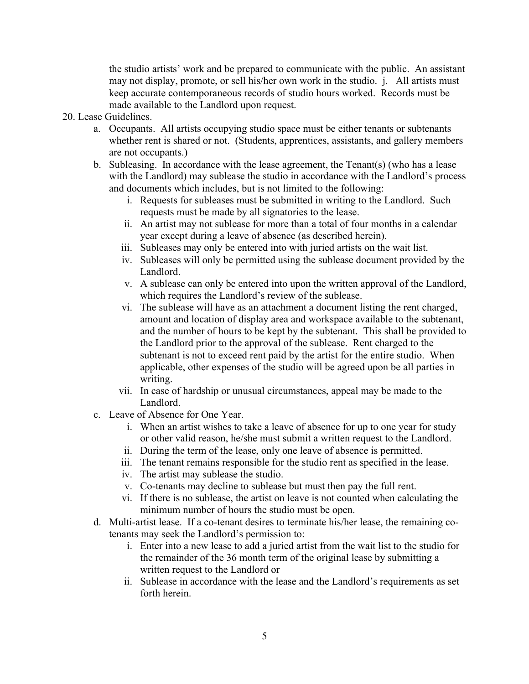the studio artists' work and be prepared to communicate with the public. An assistant may not display, promote, or sell his/her own work in the studio. j. All artists must keep accurate contemporaneous records of studio hours worked. Records must be made available to the Landlord upon request.

- 20. Lease Guidelines.
	- a. Occupants. All artists occupying studio space must be either tenants or subtenants whether rent is shared or not. (Students, apprentices, assistants, and gallery members are not occupants.)
	- b. Subleasing. In accordance with the lease agreement, the Tenant(s) (who has a lease with the Landlord) may sublease the studio in accordance with the Landlord's process and documents which includes, but is not limited to the following:
		- i. Requests for subleases must be submitted in writing to the Landlord. Such requests must be made by all signatories to the lease.
		- ii. An artist may not sublease for more than a total of four months in a calendar year except during a leave of absence (as described herein).
		- iii. Subleases may only be entered into with juried artists on the wait list.
		- iv. Subleases will only be permitted using the sublease document provided by the Landlord.
		- v. A sublease can only be entered into upon the written approval of the Landlord, which requires the Landlord's review of the sublease.
		- vi. The sublease will have as an attachment a document listing the rent charged, amount and location of display area and workspace available to the subtenant, and the number of hours to be kept by the subtenant. This shall be provided to the Landlord prior to the approval of the sublease. Rent charged to the subtenant is not to exceed rent paid by the artist for the entire studio. When applicable, other expenses of the studio will be agreed upon be all parties in writing.
		- vii. In case of hardship or unusual circumstances, appeal may be made to the Landlord.
	- c. Leave of Absence for One Year.
		- i. When an artist wishes to take a leave of absence for up to one year for study or other valid reason, he/she must submit a written request to the Landlord.
		- ii. During the term of the lease, only one leave of absence is permitted.
		- iii. The tenant remains responsible for the studio rent as specified in the lease.
		- iv. The artist may sublease the studio.
		- v. Co-tenants may decline to sublease but must then pay the full rent.
		- vi. If there is no sublease, the artist on leave is not counted when calculating the minimum number of hours the studio must be open.
	- d. Multi-artist lease. If a co-tenant desires to terminate his/her lease, the remaining cotenants may seek the Landlord's permission to:
		- i. Enter into a new lease to add a juried artist from the wait list to the studio for the remainder of the 36 month term of the original lease by submitting a written request to the Landlord or
		- ii. Sublease in accordance with the lease and the Landlord's requirements as set forth herein.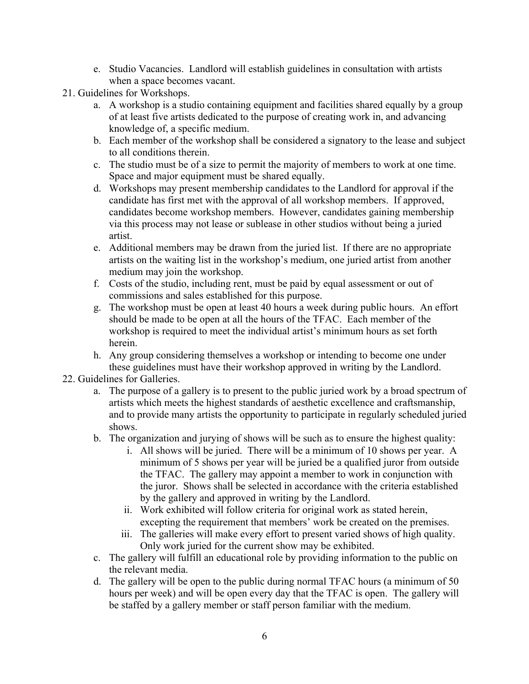- e. Studio Vacancies. Landlord will establish guidelines in consultation with artists when a space becomes vacant.
- 21. Guidelines for Workshops.
	- a. A workshop is a studio containing equipment and facilities shared equally by a group of at least five artists dedicated to the purpose of creating work in, and advancing knowledge of, a specific medium.
	- b. Each member of the workshop shall be considered a signatory to the lease and subject to all conditions therein.
	- c. The studio must be of a size to permit the majority of members to work at one time. Space and major equipment must be shared equally.
	- d. Workshops may present membership candidates to the Landlord for approval if the candidate has first met with the approval of all workshop members. If approved, candidates become workshop members. However, candidates gaining membership via this process may not lease or sublease in other studios without being a juried artist.
	- e. Additional members may be drawn from the juried list. If there are no appropriate artists on the waiting list in the workshop's medium, one juried artist from another medium may join the workshop.
	- f. Costs of the studio, including rent, must be paid by equal assessment or out of commissions and sales established for this purpose.
	- g. The workshop must be open at least 40 hours a week during public hours. An effort should be made to be open at all the hours of the TFAC. Each member of the workshop is required to meet the individual artist's minimum hours as set forth herein.
	- h. Any group considering themselves a workshop or intending to become one under these guidelines must have their workshop approved in writing by the Landlord.
- 22. Guidelines for Galleries.
	- a. The purpose of a gallery is to present to the public juried work by a broad spectrum of artists which meets the highest standards of aesthetic excellence and craftsmanship, and to provide many artists the opportunity to participate in regularly scheduled juried shows.
	- b. The organization and jurying of shows will be such as to ensure the highest quality:
		- i. All shows will be juried. There will be a minimum of 10 shows per year. A minimum of 5 shows per year will be juried be a qualified juror from outside the TFAC. The gallery may appoint a member to work in conjunction with the juror. Shows shall be selected in accordance with the criteria established by the gallery and approved in writing by the Landlord.
		- ii. Work exhibited will follow criteria for original work as stated herein, excepting the requirement that members' work be created on the premises.
		- iii. The galleries will make every effort to present varied shows of high quality. Only work juried for the current show may be exhibited.
	- c. The gallery will fulfill an educational role by providing information to the public on the relevant media.
	- d. The gallery will be open to the public during normal TFAC hours (a minimum of 50 hours per week) and will be open every day that the TFAC is open. The gallery will be staffed by a gallery member or staff person familiar with the medium.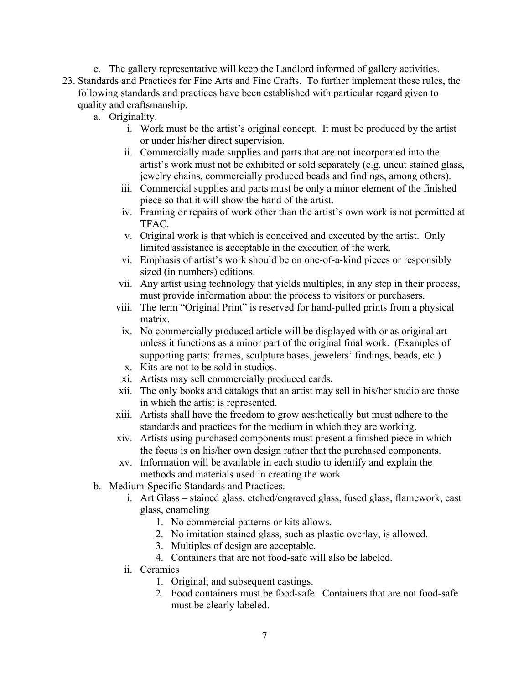e. The gallery representative will keep the Landlord informed of gallery activities. 23. Standards and Practices for Fine Arts and Fine Crafts. To further implement these rules, the following standards and practices have been established with particular regard given to quality and craftsmanship.

- a. Originality.
	- i. Work must be the artist's original concept. It must be produced by the artist or under his/her direct supervision.
	- ii. Commercially made supplies and parts that are not incorporated into the artist's work must not be exhibited or sold separately (e.g. uncut stained glass, jewelry chains, commercially produced beads and findings, among others).
	- iii. Commercial supplies and parts must be only a minor element of the finished piece so that it will show the hand of the artist.
	- iv. Framing or repairs of work other than the artist's own work is not permitted at TFAC.
	- v. Original work is that which is conceived and executed by the artist. Only limited assistance is acceptable in the execution of the work.
	- vi. Emphasis of artist's work should be on one-of-a-kind pieces or responsibly sized (in numbers) editions.
	- vii. Any artist using technology that yields multiples, in any step in their process, must provide information about the process to visitors or purchasers.
	- viii. The term "Original Print" is reserved for hand-pulled prints from a physical matrix.
	- ix. No commercially produced article will be displayed with or as original art unless it functions as a minor part of the original final work. (Examples of supporting parts: frames, sculpture bases, jewelers' findings, beads, etc.)
	- x. Kits are not to be sold in studios.
	- xi. Artists may sell commercially produced cards.
	- xii. The only books and catalogs that an artist may sell in his/her studio are those in which the artist is represented.
	- xiii. Artists shall have the freedom to grow aesthetically but must adhere to the standards and practices for the medium in which they are working.
	- xiv. Artists using purchased components must present a finished piece in which the focus is on his/her own design rather that the purchased components.
	- xv. Information will be available in each studio to identify and explain the methods and materials used in creating the work.
- b. Medium-Specific Standards and Practices.
	- i. Art Glass stained glass, etched/engraved glass, fused glass, flamework, cast glass, enameling
		- 1. No commercial patterns or kits allows.
		- 2. No imitation stained glass, such as plastic overlay, is allowed.
		- 3. Multiples of design are acceptable.
		- 4. Containers that are not food-safe will also be labeled.
	- ii. Ceramics
		- 1. Original; and subsequent castings.
		- 2. Food containers must be food-safe. Containers that are not food-safe must be clearly labeled.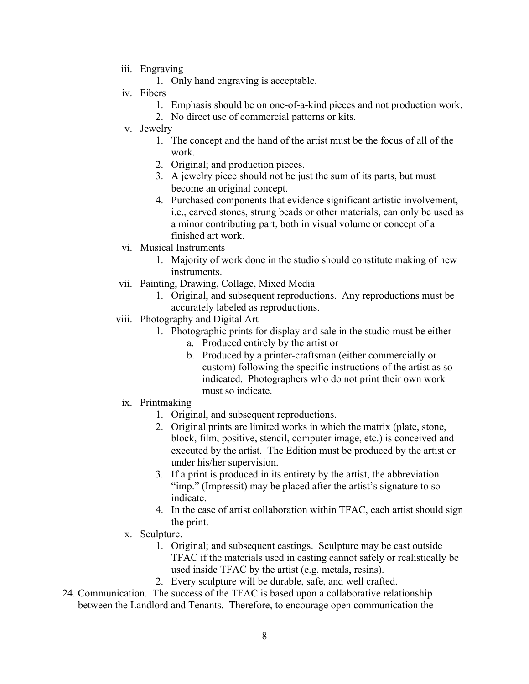- iii. Engraving
	- 1. Only hand engraving is acceptable.
- iv. Fibers
	- 1. Emphasis should be on one-of-a-kind pieces and not production work.
	- 2. No direct use of commercial patterns or kits.
- v. Jewelry
	- 1. The concept and the hand of the artist must be the focus of all of the work.
	- 2. Original; and production pieces.
	- 3. A jewelry piece should not be just the sum of its parts, but must become an original concept.
	- 4. Purchased components that evidence significant artistic involvement, i.e., carved stones, strung beads or other materials, can only be used as a minor contributing part, both in visual volume or concept of a finished art work.
- vi. Musical Instruments
	- 1. Majority of work done in the studio should constitute making of new instruments.
- vii. Painting, Drawing, Collage, Mixed Media
	- 1. Original, and subsequent reproductions. Any reproductions must be accurately labeled as reproductions.
- viii. Photography and Digital Art
	- 1. Photographic prints for display and sale in the studio must be either
		- a. Produced entirely by the artist or
		- b. Produced by a printer-craftsman (either commercially or custom) following the specific instructions of the artist as so indicated. Photographers who do not print their own work must so indicate.
	- ix. Printmaking
		- 1. Original, and subsequent reproductions.
		- 2. Original prints are limited works in which the matrix (plate, stone, block, film, positive, stencil, computer image, etc.) is conceived and executed by the artist. The Edition must be produced by the artist or under his/her supervision.
		- 3. If a print is produced in its entirety by the artist, the abbreviation "imp." (Impressit) may be placed after the artist's signature to so indicate.
		- 4. In the case of artist collaboration within TFAC, each artist should sign the print.
	- x. Sculpture.
		- 1. Original; and subsequent castings. Sculpture may be cast outside TFAC if the materials used in casting cannot safely or realistically be used inside TFAC by the artist (e.g. metals, resins).
		- 2. Every sculpture will be durable, safe, and well crafted.
- 24. Communication. The success of the TFAC is based upon a collaborative relationship between the Landlord and Tenants. Therefore, to encourage open communication the